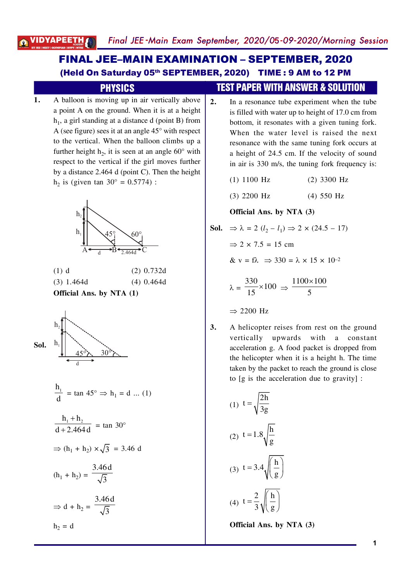# **FINAL JEE-MAIN EXAMINATION - SEPTEMBER, 2020** (Held On Saturday 05th SEPTEMBER, 2020) TIME: 9 AM to 12 PM

#### **PHYSICS**

A balloon is moving up in air vertically above 1. a point A on the ground. When it is at a height  $h_1$ , a girl standing at a distance d (point B) from A (see figure) sees it at an angle  $45^{\circ}$  with respect to the vertical. When the balloon climbs up a further height  $h_2$ , it is seen at an angle 60 $^{\circ}$  with respect to the vertical if the girl moves further by a distance  $2.464$  d (point C). Then the height  $h_2$  is (given tan 30° = 0.5774) :



| <b>Official Ans. by NTA (1)</b> |              |
|---------------------------------|--------------|
| $(3)$ 1.464d                    | $(4)$ 0.464d |
| $(1)$ d                         | $(2)$ 0.732d |



$$
\frac{h_1}{d} = \tan 45^\circ \Rightarrow h_1 = d \dots (1)
$$

$$
\frac{h_1 + h_2}{d + 2.464 d} = \tan 30^{\circ}
$$

$$
\Rightarrow (h_1 + h_2) \times \sqrt{3} = 3.46 \text{ d}
$$

$$
(\mathbf{h}_1 + \mathbf{h}_2) = \frac{3.46 \,\mathrm{d}}{\sqrt{3}}
$$
\n
$$
\Rightarrow \mathrm{d} + \mathbf{h}_2 = \frac{3.46 \,\mathrm{d}}{\sqrt{3}}
$$

$$
h_2 = d
$$

### **TEST PAPER WITH ANSWER & SOLUTION**

 $\overline{2}$ . In a resonance tube experiment when the tube is filled with water up to height of 17.0 cm from bottom, it resonates with a given tuning fork. When the water level is raised the next resonance with the same tuning fork occurs at a height of 24.5 cm. If the velocity of sound in air is 330 m/s, the tuning fork frequency is:

> $(1)$  1100 Hz  $(2)$  3300 Hz

 $(3)$  2200 Hz  $(4)$  550 Hz

#### Official Ans. by NTA (3)

**Sol.** 
$$
\Rightarrow \lambda = 2 (l_2 - l_1) \Rightarrow 2 \times (24.5 - 17)
$$

$$
\Rightarrow 2 \times 7.5 = 15 \text{ cm}
$$

& 
$$
v = f\lambda \implies 330 = \lambda \times 15 \times 10^{-2}
$$

$$
\lambda = \frac{330}{15} \times 100 \implies \frac{1100 \times 100}{5}
$$

$$
\Rightarrow 2200 \text{ Hz}
$$

3. A helicopter reises from rest on the ground vertically upwards with a constant acceleration g. A food packet is dropped from the helicopter when it is a height h. The time taken by the packet to reach the ground is close to [g is the acceleration due to gravity] :

(1) 
$$
t = \sqrt{\frac{2h}{3g}}
$$
  
(2) 
$$
t = 1.8 \sqrt{\frac{h}{g}}
$$
  
(3) 
$$
t = 3.4 \sqrt{\left(\frac{h}{g}\right)}
$$
  
(4) 
$$
t = \frac{2}{3} \sqrt{\left(\frac{h}{g}\right)}
$$

Official Ans. by NTA (3)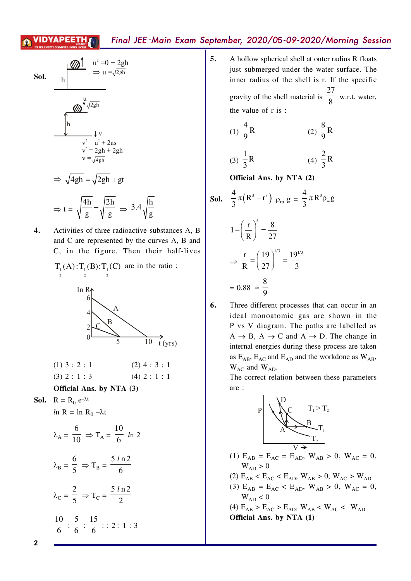**Sol.**

\n
$$
\frac{h}{\sqrt{\frac{2gh}{m}}} \Rightarrow u = \sqrt{2gh}
$$
\n
$$
\frac{2\pi}{\sqrt{2gh}}
$$
\n
$$
\frac{2\pi}{\sqrt{2gh}}
$$
\n
$$
\frac{2\pi}{\sqrt{2gh}}
$$
\n
$$
\frac{2\pi}{\sqrt{2gh}} \Rightarrow \frac{2\pi}{\sqrt{2gh}} = \frac{2\pi}{\sqrt{2gh}} + 2\pi
$$
\n
$$
\Rightarrow \sqrt{4gh} = \sqrt{2gh} + gt
$$
\n
$$
\Rightarrow t = \sqrt{\frac{4h}{g}} - \sqrt{\frac{2h}{g}} \Rightarrow 3.4\sqrt{\frac{h}{g}}
$$

4. Activities of three radioactive substances A, B and C are represented by the curves A, B and C, in the figure. Then their half-lives

$$
T_{\frac{1}{2}}(A) : T_{\frac{1}{2}}(B) : T_{\frac{1}{2}}(C) \text{ are in the ratio}:
$$



| $(1)$ 3 : 2 : 1 | $(2)$ 4 : 3 : 1 |  |
|-----------------|-----------------|--|
| $(3)$ 2 : 1 : 3 | $(4)$ 2 : 1 : 1 |  |

#### Official Ans. by NTA (3)

**Sol.**  $R = R_0 e^{-\lambda t}$ 

$$
ln R = ln R_0 - \lambda t
$$

$$
\lambda_{\rm A} = \frac{6}{10} \Rightarrow T_{\rm A} = \frac{10}{6} \ln 2
$$

$$
\lambda_{\rm B} = \frac{6}{5} \Rightarrow T_{\rm B} = \frac{5 \ln 2}{6}
$$

$$
\lambda_{\rm C} = \frac{2}{5} \Rightarrow T_{\rm C} = \frac{5 \ln 2}{2}
$$

$$
\frac{10}{6} : \frac{5}{6} : \frac{15}{6} :: 2 : 1 : 3
$$

A hollow spherical shell at outer radius R floats 5. just submerged under the water surface. The inner radius of the shell is r. If the specific gravity of the shell material is  $\frac{27}{8}$  w.r.t. water, the value of r is:

(1) 
$$
\frac{4}{9}
$$
R (2)  $\frac{8}{9}$ R

(3) 
$$
\frac{1}{3}
$$
R (4)  $\frac{2}{3}$ R

Official Ans. by NTA (2)

**Sol.** 
$$
\frac{4}{3}\pi (R^3 - r^3) \rho_m g = \frac{4}{3}\pi R^3 \rho_w g
$$
  

$$
1 - \left(\frac{r}{R}\right)^3 = \frac{8}{27}
$$

$$
\Rightarrow \frac{r}{R} = \left(\frac{19}{27}\right)^{1/3} = \frac{19^{1/3}}{3}
$$

$$
= 0.88 \approx \frac{8}{9}
$$

6.

Three different processes that can occur in an ideal monoatomic gas are shown in the P vs V diagram. The paths are labelled as  $A \rightarrow B$ ,  $A \rightarrow C$  and  $A \rightarrow D$ . The change in internal energies during these process are taken as  $E_{AB}$ ,  $E_{AC}$  and  $E_{AD}$  and the workdone as  $W_{AB}$ ,  $W_{AC}$  and  $W_{AD}$ .

The correct relation between these parameters are:



- (1)  $E_{AB} = E_{AC} = E_{AD}$ ,  $W_{AB} > 0$ ,  $W_{AC} = 0$ ,  $W_{AD} > 0$
- (2)  $E_{AB}$  <  $E_{AC}$  <  $E_{AD}$ ,  $W_{AB}$  > 0,  $W_{AC}$  >  $W_{AD}$
- (3)  $E_{AB} = E_{AC} < E_{AD}$ ,  $W_{AB} > 0$ ,  $W_{AC} = 0$ ,  $W_{AD}$  < 0
- (4)  $E_{AB} > E_{AC} > E_{AD}$ ,  $W_{AB} < W_{AC} < W_{AD}$ Official Ans. by NTA (1)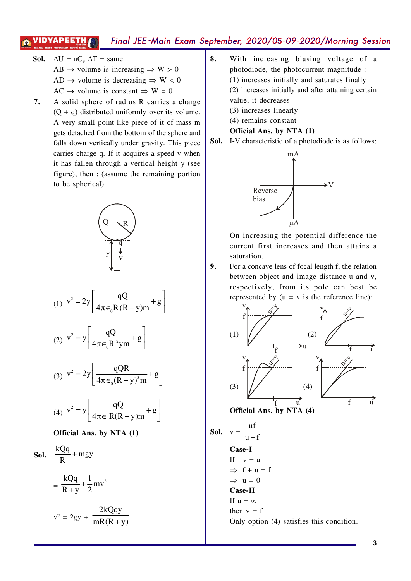9.

- $\Delta U = nC_v \Delta T = \text{same}$ Sol. AB  $\rightarrow$  volume is increasing  $\Rightarrow$  W > 0 AD  $\rightarrow$  volume is decreasing  $\Rightarrow$  W < 0 AC  $\rightarrow$  volume is constant  $\Rightarrow$  W = 0
- 7. A solid sphere of radius R carries a charge  $(Q + q)$  distributed uniformly over its volume. A very small point like piece of it of mass m gets detached from the bottom of the sphere and falls down vertically under gravity. This piece carries charge q. If it acquires a speed v when it has fallen through a vertical height y (see figure), then : (assume the remaining portion to be spherical).



(4) 
$$
v^2 = y \left[ \frac{qQ}{4\pi \epsilon_0 R(R+y)m} + g \right]
$$

#### Official Ans. by NTA (1)

**Sol.**  $\frac{kQq}{R}$  + mgy  $=\frac{kQq}{R+v}+\frac{1}{2}mv^2$  $v^2 = 2gy + \frac{2kQqy}{mR(R+v)}$ 

- 8. With increasing biasing voltage of a photodiode, the photocurrent magnitude : (1) increases initially and saturates finally (2) increases initially and after attaining certain value, it decreases
	- (3) increases linearly
	- (4) remains constant
	- Official Ans. by NTA (1)
- **Sol.** I-V characteristic of a photodiode is as follows:



On increasing the potential difference the current first increases and then attains a saturation.

For a concave lens of focal length f, the relation between object and image distance u and v, respectively, from its pole can best be represented by  $(u = v$  is the reference line):

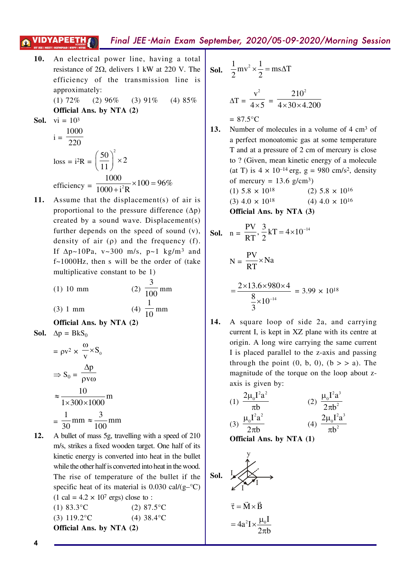- An electrical power line, having a total 10. resistance of  $2\Omega$ , delivers 1 kW at 220 V. The efficiency of the transmission line is approximately:  $(1) 72%$  $(2)$  96%  $(3)$  91%  $(4)85%$ Official Ans. by NTA (2) **Sol.** vi =  $10^3$ 
	- $i = \frac{1000}{220}$  $loss = i^2R = \left(\frac{50}{11}\right)^2 \times 2$ efficiency =  $\frac{1000}{1000 + i^2 R} \times 100 = 96\%$
- $11.$ Assume that the displacement(s) of air is proportional to the pressure difference  $(\Delta p)$ created by a sound wave. Displacement(s) further depends on the speed of sound  $(v)$ , density of air  $(\rho)$  and the frequency  $(f)$ . If  $\Delta p \sim 10Pa$ , v $\sim 300$  m/s, p $\sim 1$  kg/m<sup>3</sup> and  $f \sim 1000$ Hz, then s will be the order of (take multiplicative constant to be 1)

(1) 10 mm  
(2) 
$$
\frac{3}{100}
$$
 mm  
(3) 1 mm  
(4)  $\frac{1}{10}$  mm

$$
(3) 1 mm
$$

Official Ans. by NTA (2)

**Sol.** 
$$
\Delta p = BkS_0
$$

$$
= \rho v^2 \times \frac{\omega}{v} \times S_0
$$
  
\n
$$
\Rightarrow S_0 = \frac{\Delta p}{\rho v \omega}
$$
  
\n
$$
\approx \frac{10}{1 \times 300 \times 1000} m
$$
  
\n
$$
= \frac{1}{30} mm \approx \frac{3}{100} mm
$$

 $12.$ A bullet of mass 5g, travelling with a speed of 210 m/s, strikes a fixed wooden target. One half of its kinetic energy is converted into heat in the bullet while the other half is converted into heat in the wood. The rise of temperature of the bullet if the specific heat of its material is 0.030 cal/ $(g$ – $\degree$ C)  $(1 cal = 4.2 \times 10<sup>7</sup> erg) close to :$  $(1)$  83.3°C  $(2)$  87.5°C  $(3) 119.2$ °C  $(4)$  38.4 $\degree$ C

**Sol.** 
$$
\frac{1}{2}mv^2 \times \frac{1}{2} = ms\Delta T
$$
  
\n $\Delta T = \frac{v^2}{4 \times 5} = \frac{210^2}{4 \times 30 \times 4.200}$   
\n= 87.5°C

- 13. Number of molecules in a volume of 4 cm<sup>3</sup> of a perfect monoatomic gas at some temperature T and at a pressure of 2 cm of mercury is close to ? (Given, mean kinetic energy of a molecule (at T) is  $4 \times 10^{-14}$  erg, g = 980 cm/s<sup>2</sup>, density of mercury =  $13.6$  g/cm<sup>3</sup>)  $(1)$  5.8  $\times$  10<sup>18</sup>  $(2)$  5.8  $\times$  10<sup>16</sup>
	- $(3)$  4.0  $\times$  10<sup>18</sup>  $(4)$  4.0  $\times$  10<sup>16</sup>

Official Ans. by NTA (3)

**Sol.** 
$$
n = \frac{PV}{RT}, \frac{3}{2}kT = 4 \times 10^{-14}
$$

$$
N = \frac{PV}{RT} \times Na
$$

$$
= \frac{2 \times 13.6 \times 980 \times 4}{\frac{8}{3} \times 10^{-14}} = 3.99 \times 10^{18}
$$

14. A square loop of side 2a, and carrying current I, is kept in XZ plane with its centre at origin. A long wire carrying the same current I is placed parallel to the z-axis and passing through the point  $(0, b, 0)$ ,  $(b > a)$ . The magnitude of the torque on the loop about zaxis is given by:

(1) 
$$
\frac{2\mu_0 I^2 a^2}{\pi b}
$$
 (2)  $\frac{\mu_0 I^2 a^3}{2\pi b^2}$   
(3)  $\frac{\mu_0 I^2 a^2}{2\pi b}$  (4)  $\frac{2\mu_0 I^2 a^3}{\pi b^2}$ 

Official Ans. by NTA (1)

Sol.

\n
$$
\overrightarrow{I} = \overrightarrow{M} \times \overrightarrow{B}
$$
\n
$$
\overrightarrow{\tau} = \overrightarrow{M} \times \overrightarrow{B}
$$
\n
$$
= 4a^{2}I \times \frac{\mu_{0}I}{2\pi b}
$$

 $\ddot{x}$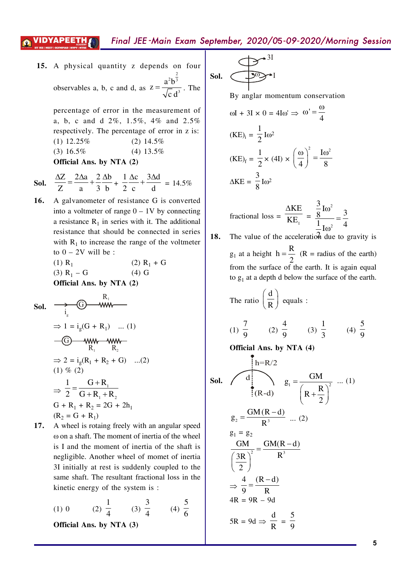observables a, b, c and d, as  $^{2}h^{\frac{2}{3}}$ 3  $z = \frac{a^2b}{\sqrt{a^2}}$ c d  $=\frac{d\theta}{\sqrt{d}}$ . The 15. A physical quantity z depends on four

percentage of error in the measurement of a, b, c and d  $2\%$ ,  $1.5\%$ ,  $4\%$  and  $2.5\%$ respectively. The percentage of error in z is:  $(1)$  12.25%  $(2)$  14.5%  $(3)$  16.5%  $(4)$  13.5%

**Official Ans. by NTA (2)**

**Sol.** 
$$
\frac{\Delta Z}{Z} = \frac{2\Delta a}{a} + \frac{2}{3} \frac{\Delta b}{b} + \frac{1}{2} \frac{\Delta c}{c} + \frac{3\Delta d}{d} = 14.5\%
$$

**16.** A galvanometer of resistance G is converted into a voltmeter of range  $0-1V$  by connecting a resistance  $R_1$  in series with it. The additional resistance that should be connected in series with  $R_1$  to increase the range of the voltmeter to  $0-2V$  will be:

 $(1)$  R<sub>1</sub> (2)  $R_1 + G$  $(3)$  R<sub>1</sub> – G  $(4)$  G **Official Ans. by NTA (2)**

**Sol.** 
$$
\xrightarrow{i_g}
$$
 G)  $\xrightarrow{R_1}$   
\n $\Rightarrow 1 = i_g(G + R_1) \dots (1)$   
\n $\xrightarrow{G}$   $\xrightarrow{WW}$   $\xrightarrow{WW}$   
\n $\xrightarrow{R_1}$   $\xrightarrow{R_2}$   
\n $\Rightarrow 2 = i_g(R_1 + R_2 + G) \dots (2)$   
\n $(1) \% (2)$   
\n $\Rightarrow \frac{1}{2} = \frac{G + R_1}{G + R_1 + R_2}$   
\n $G + R_1 + R_2 = 2G + 2h_1$   
\n $(R_2 = G + R_1)$ 

**17.** A wheel is rotaing freely with an angular speed  $\omega$  on a shaft. The moment of inertia of the wheel is I and the moment of inertia of the shaft is negligible. Another wheel of momet of inertia 3I initially at rest is suddenly coupled to the same shaft. The resultant fractional loss in the kinetic energy of the system is  $\cdot$ 

> $(1)$  0 .  $\frac{1}{4}$  (3)  $\overline{\mathbf{3}}$  $\frac{1}{4}$  (4) 5 6

**Official Ans. by NTA (3)**

$$
\text{Sol.} \quad \overbrace{\phantom{\big(}\text{Sol.}\end{pmatrix}^{\mathcal{O}^{3I}}
$$

By anglar momentum conservation

$$
\omega I + 3I \times 0 = 4I\omega' \Rightarrow \omega' = \frac{\omega}{4}
$$
  
(KE)<sub>i</sub> =  $\frac{1}{2}I\omega^2$   
(KE)<sub>f</sub> =  $\frac{1}{2} \times (4I) \times \left(\frac{\omega}{4}\right)^2 = \frac{I\omega^2}{8}$   
 $\Delta KE = \frac{3}{8}I\omega^2$ 

fractional loss = 
$$
\frac{\Delta KE}{KE_1} = \frac{\frac{3}{8}I\omega^2}{\frac{1}{2}I\omega^2} = \frac{3}{4}
$$

**18.** The value of the acceleration due to gravity is  $g_1$  at a height  $h = \frac{R}{2}$ /  $=\frac{R}{A}$  (R = radius of the earth) from the surface of the earth. It is again equal to  $g_1$  at a depth d below the surface of the earth.

The ratio 
$$
\left(\frac{d}{R}\right)
$$
 equals :

(1) 
$$
\frac{7}{9}
$$
 (2)  $\frac{4}{9}$  (3)  $\frac{1}{3}$  (4)  $\frac{5}{9}$ 

**Official Ans. by NTA (4)**

**Sol.**  
\n
$$
\begin{array}{ccc}\n & h=R/2 & \\
& (R-d) & g_1 = \frac{GM}{(R+\frac{R}{2})^2} \quad ... (1) \\
& & g_2 = \frac{GM(R-d)}{R^3} & \\
& \frac{GM}{2} = \frac{GM(R-d)}{R^3} \\
& & \frac{3R}{9} = \frac{(R-d)}{R} \\
& & 4R = 9R - 9d \\
& & 5R = 9d \Rightarrow \frac{d}{R} = \frac{5}{9}\n\end{array}
$$
\n(1)

**5**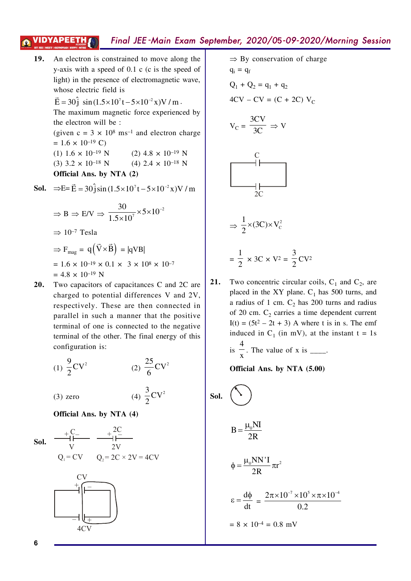**19.** An electron is constrained to move along the y-axis with a speed of  $0.1$  c (c is the speed of light) in the presence of electromagnetic wave, whose electric field is

 $\vec{E} = 30 \hat{j} \sin(1.5 \times 10^{7} t - 5 \times 10^{-2} x) V/m$  $\vec{E} = 30 \hat{i} \sin(1.5 \times 10^{7} t - 5 \times 10^{-2} x) V/m$ . The maximum magnetic force experienced by the electron will be :

(given  $c = 3 \times 10^8$  ms<sup>-1</sup> and electron charge  $= 1.6 \times 10^{-19}$  C) (1)  $1.6 \times 10^{-19}$  N (2)  $4.8 \times 10^{-19}$  N

(3)  $3.2 \times 10^{-18}$  N (4)  $2.4 \times 10^{-18}$  N

**Official Ans. by NTA (2)**

**Sol.** 
$$
\Rightarrow
$$
E =  $\vec{E}$  = 30 $\hat{j}$ sin(1.5×10<sup>7</sup>t – 5×10<sup>-2</sup>x)V/m

$$
\Rightarrow B \Rightarrow E/V \Rightarrow \frac{30}{1.5 \times 10^7} \times 5 \times 10^{-2}
$$
  
\n
$$
\Rightarrow 10^{-7} \text{ Tesla}
$$
  
\n
$$
\Rightarrow F_{\text{mag}} = q(\vec{V} \times \vec{B}) = |qVB|
$$
  
\n= 1.6 × 10<sup>-19</sup> × 0.1 × 3 × 10<sup>8</sup> × 10<sup>-7</sup>  
\n= 4.8 × 10<sup>-19</sup> N

**20.** Two capacitors of capacitances C and 2C are charged to potential differences V and  $2V$ , respectively. These are then connected in parallel in such a manner that the positive terminal of one is connected to the negative terminal of the other. The final energy of this configuration is:

(1) 
$$
\frac{9}{2}
$$
CV<sup>2</sup> (2)  $\frac{25}{6}$ CV<sup>2</sup>

/

(3) zero (4) 
$$
\frac{3}{2}
$$
CV<sup>2</sup>

**Official Ans. by NTA (4)**



$$
\Rightarrow \text{By conservation of charge}
$$
\n
$$
q_i = q_f
$$
\n
$$
Q_1 + Q_2 = q_1 + q_2
$$
\n
$$
4CV - CV = (C + 2C) V_C
$$
\n
$$
V_C = \frac{3CV}{3C} \Rightarrow V
$$
\n
$$
C
$$
\n
$$
C
$$
\n
$$
C
$$
\n
$$
C
$$
\n
$$
2C
$$
\n
$$
\Rightarrow \frac{1}{2} \times (3C) \times V_C^2
$$

$$
= \frac{1}{2} \times 3C \times V^2 = \frac{3}{2}CV^2
$$

/

 $\mathsf{C}$ 

**21.** Two concentric circular coils,  $C_1$  and  $C_2$ , are placed in the XY plane.  $C_1$  has 500 turns, and a radius of 1 cm.  $C_2$  has 200 turns and radius of 20 cm.  $C_2$  carries a time dependent current  $I(t) = (5t<sup>2</sup> - 2t + 3)$  A where t is in s. The emf induced in  $C_1$  (in mV), at the instant  $t = 1s$ is 1  $\frac{1}{x}$ . The value of x is \_\_\_\_.

**Official Ans. by NTA (5.00)**

**Sol.**  
\n
$$
B = \frac{\mu_0 NI}{2R}
$$
\n
$$
\phi = \frac{\mu_0 NN'I}{2R} \pi r^2
$$
\n
$$
\epsilon = \frac{d\phi}{dt} = \frac{2\pi \times 10^{-7} \times 10^5 \times \pi \times 10^{-4}}{0.2}
$$
\n
$$
= 8 \times 10^{-4} = 0.8 \text{ mV}
$$